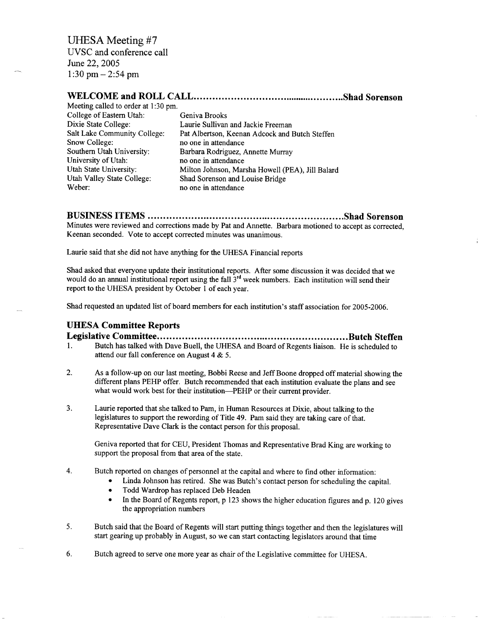UVSC and conference call June 22, 2005  $1:30$  pm  $-2:54$  pm

## **WELCOME and ROLL CALL Shad Sorenson**

| Meeting called to order at 1:30 pm. |                                                  |
|-------------------------------------|--------------------------------------------------|
| College of Eastern Utah:            | Geniva Brooks                                    |
| Dixie State College:                | Laurie Sullivan and Jackie Freeman               |
| Salt Lake Community College:        | Pat Albertson, Keenan Adcock and Butch Steffen   |
| Snow College:                       | no one in attendance                             |
| Southern Utah University:           | Barbara Rodriguez, Annette Murray                |
| University of Utah:                 | no one in attendance                             |
| Utah State University:              | Milton Johnson, Marsha Howell (PEA), Jill Balard |
| Utah Valley State College:          | Shad Sorenson and Louise Bridge                  |
| Weber:                              | no one in attendance                             |

# **BUSINESS ITEMS Shad Sorenson**

Minutes were reviewed and corrections made by Pat and Annette. Barbara motioned to accept as corrected, Keenan seconded. Vote to accept corrected minutes was unanimous.

Laurie said that she did not have anything for the UHESA Financial reports

Shad asked that everyone update their institutional reports. After some discussion it was decided that we would do an annual institutional report using the fall  $3<sup>rd</sup>$  week numbers. Each institution will send their report to the UHESA president by October 1 of each year.

Shad requested an updated list of board members for each institution's staff association for 2005-2006.

### **UHESA Committee Reports**

**Legislative Committee Butch Steffen** 1. Butch has talked with Dave Buell, the UHESA and Board of Regents liaison. He is scheduled to attend our fall conference on August 4 & 5.

- 2. As a follow-up on our last meeting, Bobbi Reese and Jeff Boone dropped off material showing the different plans PEHP offer. Butch recommended that each institution evaluate the plans and see what would work best for their institution—PEHP or their current provider.
- 3. Laurie reported that she talked to Pam, in Human Resources at Dixie, about talking to the legislatures to support the rewording of Title 49. Pam said they are taking care of that. Representative Dave Clark is the contact person for this proposal.

Geniva reported that for CEU, President Thomas and Representative Brad King are working to support the proposal from that area of the state.

- 4. Butch reported on changes of personnel at the capital and where to find other information:
	- Linda Johnson has retired. She was Butch's contact person for scheduling the capital.
	- Todd Wardrop has replaced Deb Headen
	- In the Board of Regents report, p 123 shows the higher education figures and p. 120 gives the appropriation numbers
- 5. Butch said that the Board of Regents will start putting things together and then the legislatures will start gearing up probably in August, so we can start contacting legislators around that time
- 6. Butch agreed to serve one more year as chair of the Legislative committee for UHESA.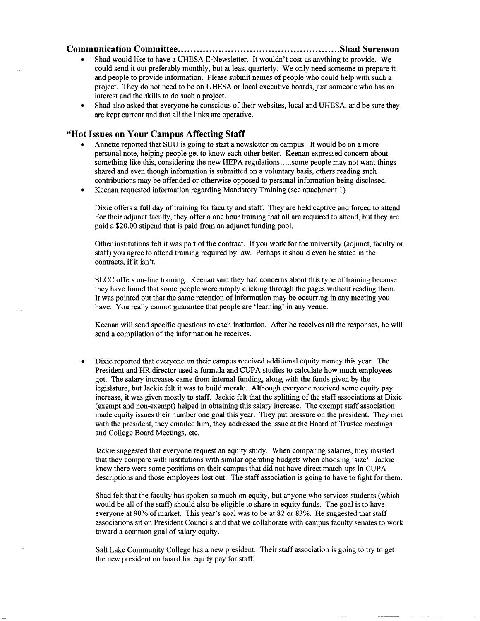#### **Communication Committee Shad Sorenson**

- Shad would like to have a UHESA E-Newsletter. It wouldn't cost us anything to provide. We could send it out preferably monthly, but at least quarterly. We only need someone to prepare it and people to provide information. Please submit names of people who could help with such a project. They do not need to be on UHESA or local executive boards, just someone who has an interest and the skills to do such a project.
- Shad also asked that everyone be conscious of their websites, local and UHESA, and be sure they are kept current and that all the links are operative.

#### **"Hot Issues on Your Campus Affecting Staff**

- Annette reported that SUU is going to start a newsletter on campus. It would be on a more personal note, helping people get to know each other better. Keenan expressed concern about something like this, considering the new HEPA regulations ... some people may not want things shared and even though information is submitted on a voluntary basis, others reading such contributions may be offended or otherwise opposed to personal information being disclosed.
- Keenan requested information regarding Mandatory Training (see attachment 1)

Dixie offers a full day of training for faculty and staff. They are held captive and forced to attend For their adjunct faculty, they offer a one hour training that all are required to attend, but they are paid a \$20.00 stipend that is paid from an adjunct funding pool.

Other institutions felt it was part of the contract. If you work for the university (adjunct, faculty or staff) you agree to attend training required by law. Perhaps it should even be stated in the contracts, if it isn't.

SLCC offers on-line training. Keenan said they had concerns about this type of training because they have found that some people were simply clicking through the pages without reading them. It was pointed out that the same retention of information may be occurring in any meeting you have. You really cannot guarantee that people are 'learning' in any venue.

Keenan will send specific questions to each institution. After he receives all the responses, he will send a compilation of the information he receives.

Dixie reported that everyone on their campus received additional equity money this year. The President and HR director used a formula and CUPA studies to calculate how much employees got. The salary increases came from internal funding, along with the funds given by the legislature, but Jackie felt it was to build morale. Although everyone received some equity pay increase, it was given mostly to staff. Jackie felt that the splitting of the staff associations at Dixie (exempt and non-exempt) helped in obtaining this salary increase. The exempt staff association made equity issues their number one goal this year. They put pressure on the president. They met with the president, they emailed him, they addressed the issue at the Board of Trustee meetings and College Board Meetings, etc.

Jackie suggested that everyone request an equity study. When comparing salaries, they insisted that they compare with institutions with similar operating budgets when choosing 'size'. Jackie knew there were some positions on their campus that did not have direct match-ups in CUPA descriptions and those employees lost out. The staff association is going to have to fight for them.

Shad felt that the faculty has spoken so much on equity, but anyone who services students (which would be all of the staff) should also be eligible to share in equity funds. The goal is to have everyone at 90% of market. This year's goal was to be at 82 or 83%. He suggested that staff associations sit on President Councils and that we collaborate with campus faculty senates to work toward a common goal of salary equity.

Salt Lake Community College has a new president. Their staff association is going to try to get the new president on board for equity pay for staff.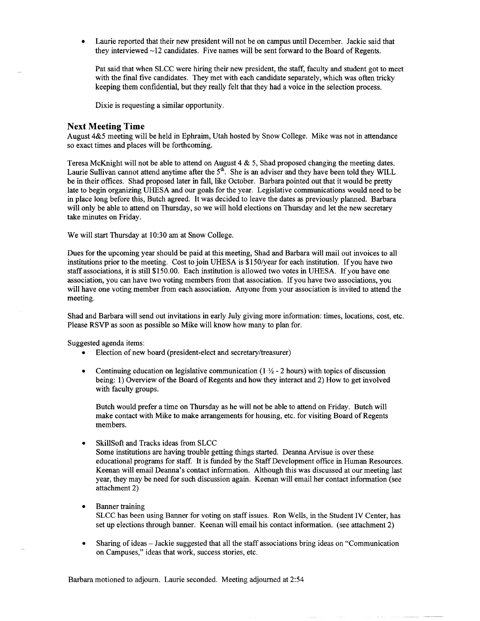• Laurie reported that their new president will not be on campus until December. Jackie said that they interviewed  $\sim$ 12 candidates. Five names will be sent forward to the Board of Regents.

Pat said that when SLCC were hiring their new president, the staff, faculty and student got to meet with the final five candidates. They met with each candidate separately, which was often tricky keeping them confidential, but they really felt that they had a voice in the selection process.

Dixie is requesting a similar opportunity.

#### Next **Meeting Time**

August 4&5 meeting will be held in Ephraim, Utah hosted by Snow College. Mike was not in attendance so exact times and places will be forthcoming.

Teresa McKnight will not be able to attend on August  $4 \& 5$ , Shad proposed changing the meeting dates. Laurie Sullivan cannot attend anytime after the  $5<sup>th</sup>$ . She is an adviser and they have been told they WILL be in their offices. Shad proposed later in fall, like October. Barbara pointed out that it would be pretty late to begin organizing UHESA and our goals for the year. Legislative communications would need to be in place long before this, Butch agreed. It was decided to leave the dates as previously planned. Barbara will only be able to attend on Thursday, so we will hold elections on Thursday and let the new secretary take minutes on Friday.

We will start Thursday at 10:30 am at Snow College.

Dues for the upcoming year should be paid at this meeting, Shad and Barbara will mail out invoices to all institutions prior to the meeting. Cost to join UHESA is \$150/year for each institution. If you have two staff associations, it is still \$150.00. Each institution is allowed two votes in UHESA. If you have one association, you can have two voting members from that association. If you have two associations, you will have one voting member from each association. Anyone from your association is invited to attend the meeting.

Shad and Barbara will send out invitations in early July giving more information: times, locations, cost, etc. Please RSVP as soon as possible so Mike will know how many to plan for.

Suggested agenda items:

- Election of new board (president-elect and secretary/treasurer)
- Continuing education on legislative communication ( $1 \frac{1}{2}$  2 hours) with topics of discussion being: 1) Overview of the Board of Regents and how they interact and 2) How to get involved with faculty groups.

Butch would prefer a time on Thursday as he will not be able to attend on Friday. Butch will make contact with Mike to make arrangements for housing, etc. for visiting Board of Regents members.

• SkillSoft and Tracks ideas from SLCC

Some institutions are having trouble getting things started. Deanna Arvisue is over these educational programs for staff. It is funded by the Staff Development office in Human Resources. Keenan will email Deanna's contact information. Although this was discussed at our meeting last year, they may be need for such discussion again. Keenan will email her contact information (see attachment 2)

- Banner training SLCC has been using Banner for voting on staff issues. Ron Wells, in the Student IV Center, has set up elections through banner. Keenan will email his contact information, (see attachment 2)
- Sharing of ideas Jackie suggested that all the staff associations bring ideas on "Communication on Campuses," ideas that work, success stories, etc.

Barbara motioned to adjourn. Laurie seconded. Meeting adjourned at 2:54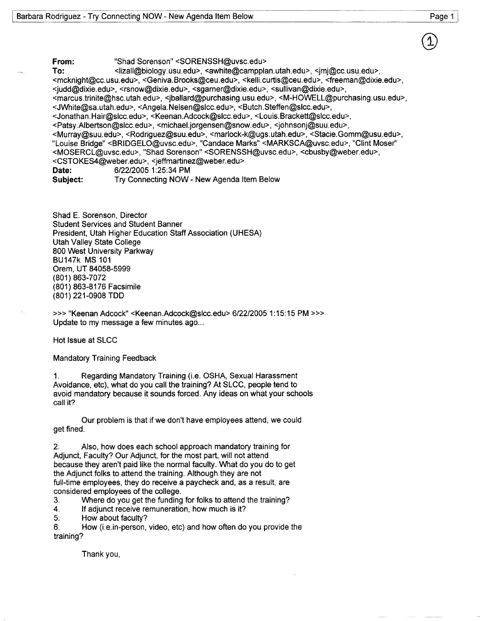**From:** "Shad Sorenson" <SORENSSH@uvsc.edu> To:  $\leq$ lizall@biology.usu.edu>,  $\leq$ awhite@campplan.utah.edu>,  $\leq$ imj@cc.usu.edu>, <mcknight@cc.usu.edu>, <Geniva.Brooks@ceu.edu>, <kelli.curtis@ceu.edu>, <freeman@dixie.edu>, <judd@dixie.edu>, <rsnow@dixie.edu>, <sgarner@dixie.edu>, <sullivan@dixie.edu>, <marcus.trinite@hsc.utah.edu>, <jballard@purchasing.usu.edu>, <M-HOWELL@purchasing.usu.edu>, <JWhite@sa.utah.edu>, <Angela.Nelsen@slcc.edu>, <Butch.Steffen@slcc.edu>, <Jonathan.Hair@slcc.edu>, <Keenan.Adcock@slcc.edu>, <Louis.Brackett@slcc.edu>, <Patsy.Albertson@slcc.edu>, <michael.jorgensen@snow.edu>, <johnsonj@suu.edu>, <Murray@suu.edu>, <Rodriguez@suu.edu>, <marlock-k@ugs.utah.edu>, <Stacie.Gomm@usu.edu>, "Louise Bridge" <BRIDGELO@uvsc.edu>, "Candace Marks" <MARKSCA@uvsc.edu>, "Clint Moser" <MOSERCL@uvsc.edu>, "Shad Sorenson" <SORENSSH@uvsc.edu>, <cbusby@weber.edu>, <CSTOKES4@weber.edu>, <jeffmartinez@weber.edu> **Date:** 6/22/2005 1:25:34 PM **Subject:** Try Connecting NOW - New Agenda Item Below

Shad E. Sorenson, Director Student Services and Student Banner President, Utah Higher Education Staff Association (UHESA) Utah Valley State College 800 West University Parkway BU147k MS 101 Orem, UT 84058-5999 (801)863-7072 (801) 863-8176 Facsimile (801) 221-0908 TDD

>» "Keenan Adcock" <Keenan.Adcock@slcc.edu> 6/22/2005 1:15:15 PM >» Update to my message a few minutes ago...

Hot Issue at SLCC

Mandatory Training Feedback

1. Regarding Mandatory Training (i.e. OSHA, Sexual Harassment Avoidance, etc), what do you call the training? At SLCC, people tend to avoid mandatory because it sounds forced. Any ideas on what your schools call it?

Our problem is that if we don't have employees attend, we could get fined.

Also, how does each school approach mandatory training for Adjunct, Faculty? Our Adjunct, for the most part, will not attend because they aren't paid like the normal faculty. What do you do to get the Adjunct folks to attend the training. Although they are not full-time employees, they do receive a paycheck and, as a result, are considered employees of the college.

3. Where do you get the funding for folks to attend the training?

4. If adjunct receive remuneration, how much is it?

5. How about faculty?

6. How (i.e.in-person, video, etc) and how often do you provide the training?

Thank you,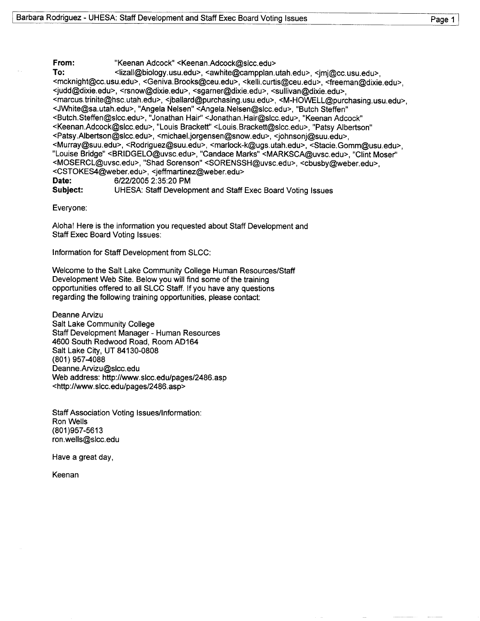From: "Keenan Adcock" <Keenan.Adcock@slcc.edu> To: <iizall@biology.usu.edu>, <awhite@campplan.utah.edu>, <jmj@cc.usu.edu>, <mcknight@cc.usu.edu>, <Geniva.Brooks@ceu.edu>, <kelli.curtis@ceu.edu>, <freeman@dixie.edu>, <judd@dixie.edu>, <rsnow@dixie.edu>, <sgarner@dixie.edu>, <sullivan@dixie.edu>, <marcus.trinite@hsc.utah.edu>, <jballard@purchasing.usu.edu>, <M-HOWELL@purchasing.usu.edu>, <JWhite@sa.utah.edu>, "Angela Nelsen" <Angela.Nelsen@slcc.edu>, "Butch Steffen" <Butch.Steffen@slcc.edu>, "Jonathan Hair" <Jonathan.Hair@slcc.edu>, "Keenan Adcock" <Keenan.Adcock@slcc.edu>, "Louis Brackett" <Louis.Brackett@slcc.edu>, "Patsy Albertson" <Patsy.Albertson@slcc.edu>, <michael.jorgensen@snow.edu>, <johnsonj@suu.edu>, <Murray@suu.edu>, <Rodriguez@suu.edu>, <marlock-k@ugs.utah.edu>, <Stacie.Gomm@usu.edu>, "Louise Bridge" <BRIDGELO@uvsc.edu>, "Candace Marks" <MARKSCA@uvsc.edu>, "Clint Moser" <MOSERCL@uvsc.edu>, "Shad Sorenson" <SORENSSH@uvsc.edu>, <cbusby@weber.edu>, <CSTOKES4@weber.edu>, <jeffmartinez@weber.edu> Date: 6/22/2005 2:35:20 PM Subject: UHESA: Staff Development and Staff Exec Board Voting Issues

Everyone:

Aloha! Here is the information you requested about Staff Development and Staff Exec Board Voting Issues:

Information for Staff Development from SLCC:

Welcome to the Salt Lake Community College Human Resources/Staff Development Web Site. Below you will find some of the training opportunities offered to all SLCC Staff. If you have any questions regarding the following training opportunities, please contact:

Deanne Arvizu Salt Lake Community College Staff Development Manager - Human Resources 4600 South Redwood Road, Room AD164 Salt Lake City, UT 84130-0808 (801)957-4088 Deanne.Arvizu@slcc.edu Web address: http://www.slcc.edu/pages/2486.asp <http://www.slcc.edu/pages/2486.asp>

Staff Association Voting Issues/Information: Ron Wells (801)957-5613 ron.wells@slcc.edu

Have a great day,

Keenan